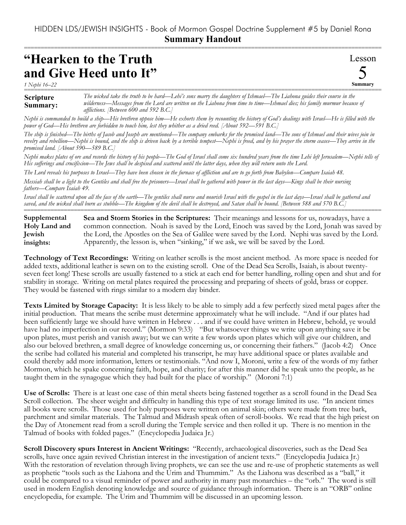===========================================================================================================

## **"Hearken to the Truth and Give Heed unto It"**

*1 Nephi 16–22*

Lesson 5 **Summary**

**Scripture Summary:** =========================================================================================================== *The wicked take the truth to be hard—Lehi's sons marry the daughters of Ishmael—The Liahona guides their course in the wilderness—Messages from the Lord are written on the Liahona from time to time—Ishmael dies; his family murmur because of afflictions. [Between 600 and 592 B.C.]*

*Nephi is commanded to build a ship—His brethren oppose him—He exhorts them by recounting the history of God's dealings with Israel—He is filled with the power of God—His brethren are forbidden to touch him, lest they whither as a dried reed. [About 592—591 B.C.]*

*The ship is finished—The births of Jacob and Joseph are mentioned—The company embarks for the promised land—The sons of Ishmael and their wives join in revelry and rebellion—Nephi is bound, and the ship is driven back by a terrible tempest—Nephi is freed, and by his prayer the storm ceases—They arrive in the promised land. [About 590—589 B.C.]*

*Nephi makes plates of ore and records the history of his people—The God of Israel shall come six hundred years from the time Lehi left Jerusalem—Nephi tells of His sufferings and crucifixion—The Jews shall be despised and scattered until the latter days, when they will return unto the Lord.* 

*The Lord reveals his purposes to Israel—They have been chosen in the furnace of affliction and are to go forth from Babylon—Compare Isaiah 48.*

*Messiah shall be a light to the Gentiles and shall free the prisoners—Israel shall be gathered with power in the last days—Kings shall be their nursing fathers—Compare Isaiah 49.*

*Israel shall be scattered upon all the face of the earth—The gentiles shall nurse and nourish Israel with the gospel in the last days—Israel shall be gathered and saved, and the wicked shall burn as stubble—The kingdom of the devil shall be destroyed, and Satan shall be bound. [Between 588 and 570 B.C.]* ===========================================================================================================

**Sea and Storm Stories in the Scriptures:** Their meanings and lessons for us, nowadays, have a common connection. Noah is saved by the Lord, Enoch was saved by the Lord, Jonah was saved by the Lord, the Apostles on the Sea of Galilee were saved by the Lord. Nephi was saved by the Lord. Apparently, the lesson is, when "sinking," if we ask, we will be saved by the Lord. **Supplemental Holy Land and Jewish insights:**

**Technology of Text Recordings:** Writing on leather scrolls is the most ancient method. As more space is needed for added texts, additional leather is sewn on to the existing scroll. One of the Dead Sea Scrolls, Isaiah, is about twentyseven feet long! These scrolls are usually fastened to a stick at each end for better handling, rolling open and shut and for stability in storage. Writing on metal plates required the processing and preparing of sheets of gold, brass or copper. They would be fastened with rings similar to a modern day binder.

**Texts Limited by Storage Capacity:** It is less likely to be able to simply add a few perfectly sized metal pages after the initial production. That means the scribe must determine approximately what he will include. "And if our plates had been sufficiently large we should have written in Hebrew . . . and if we could have written in Hebrew, behold, ye would have had no imperfection in our record." (Mormon 9:33) "But whatsoever things we write upon anything save it be upon plates, must perish and vanish away; but we can write a few words upon plates which will give our children, and also our beloved brethren, a small degree of knowledge concerning us, or concerning their fathers." (Jacob 4:2) Once the scribe had collated his material and completed his transcript, he may have additional space or plates available and could thereby add more information, letters or testimonials. "And now I, Moroni, write a few of the words of my father Mormon, which he spake concerning faith, hope, and charity; for after this manner did he speak unto the people, as he taught them in the synagogue which they had built for the place of worship." (Moroni 7:1)

**Use of Scrolls:** There is at least one case of thin metal sheets being fastened together as a scroll found in the Dead Sea Scroll collection. The sheer weight and difficulty in handling this type of text storage limited its use. "In ancient times all books were scrolls. Those used for holy purposes were written on animal skin; others were made from tree bark, parchment and similar materials. The Talmud and Midrash speak often of scroll-books. We read that the high priest on the Day of Atonement read from a scroll during the Temple service and then rolled it up. There is no mention in the Talmud of books with folded pages." (Encyclopedia Judaica Jr.)

**Scroll Discovery spurs Interest in Ancient Writings:** "Recently, archaeological discoveries, such as the Dead Sea scrolls, have once again revived Christian interest in the investigation of ancient texts." (Encyclopedia Judaica Jr.) With the restoration of revelation through living prophets, we can see the use and re-use of prophetic statements as well as prophetic "tools such as the Liahona and the Urim and Thummim." As the Liahona was described as a "ball," it could be compared to a visual reminder of power and authority in many past monarchies – the "orb." The word is still used in modern English denoting knowledge and source of guidance through information. There is an "ORB" online encyclopedia, for example. The Urim and Thummim will be discussed in an upcoming lesson.